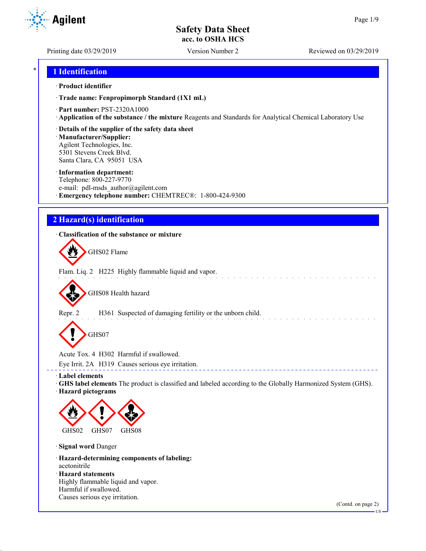Printing date 03/29/2019 Version Number 2 Reviewed on 03/29/2019

**Agilent** 

## \* **1 Identification**

#### · **Product identifier**

· **Trade name: Fenpropimorph Standard (1X1 mL)**

- · **Part number:** PST-2320A1000
- · **Application of the substance / the mixture** Reagents and Standards for Analytical Chemical Laboratory Use
- · **Details of the supplier of the safety data sheet**

· **Manufacturer/Supplier:** Agilent Technologies, Inc. 5301 Stevens Creek Blvd. Santa Clara, CA 95051 USA

#### · **Information department:**

Telephone: 800-227-9770 e-mail: pdl-msds author@agilent.com · **Emergency telephone number:** CHEMTREC®: 1-800-424-9300

## **2 Hazard(s) identification**

### · **Classification of the substance or mixture**

GHS02 Flame

Flam. Liq. 2 H225 Highly flammable liquid and vapor.

GHS08 Health hazard

Repr. 2 H361 Suspected of damaging fertility or the unborn child.

GHS07

Acute Tox. 4 H302 Harmful if swallowed.

Eye Irrit. 2A H319 Causes serious eye irritation.

· **Label elements**

· **GHS label elements** The product is classified and labeled according to the Globally Harmonized System (GHS). · **Hazard pictograms**

\_\_\_\_\_\_\_\_\_\_\_\_\_\_\_\_\_\_\_\_\_\_\_\_\_\_\_\_\_\_\_\_\_



· **Signal word** Danger

- · **Hazard-determining components of labeling:** acetonitrile
- · **Hazard statements** Highly flammable liquid and vapor. Harmful if swallowed. Causes serious eye irritation.

(Contd. on page 2)

US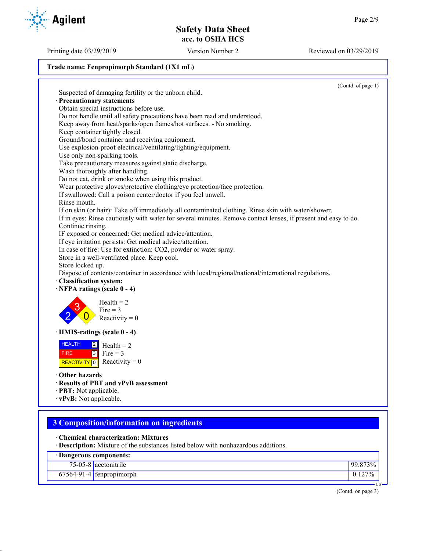Printing date 03/29/2019 Version Number 2 Reviewed on 03/29/2019

#### **Trade name: Fenpropimorph Standard (1X1 mL)**

(Contd. of page 1) Suspected of damaging fertility or the unborn child. · **Precautionary statements** Obtain special instructions before use. Do not handle until all safety precautions have been read and understood. Keep away from heat/sparks/open flames/hot surfaces. - No smoking. Keep container tightly closed. Ground/bond container and receiving equipment. Use explosion-proof electrical/ventilating/lighting/equipment. Use only non-sparking tools. Take precautionary measures against static discharge. Wash thoroughly after handling. Do not eat, drink or smoke when using this product. Wear protective gloves/protective clothing/eye protection/face protection. If swallowed: Call a poison center/doctor if you feel unwell. Rinse mouth. If on skin (or hair): Take off immediately all contaminated clothing. Rinse skin with water/shower. If in eyes: Rinse cautiously with water for several minutes. Remove contact lenses, if present and easy to do. Continue rinsing. IF exposed or concerned: Get medical advice/attention. If eye irritation persists: Get medical advice/attention. In case of fire: Use for extinction: CO2, powder or water spray. Store in a well-ventilated place. Keep cool. Store locked up. Dispose of contents/container in accordance with local/regional/national/international regulations. · **Classification system:** · **NFPA ratings (scale 0 - 4)** 2 3  $\overline{0}$  $Health = 2$ Fire  $= 3$ Reactivity  $= 0$ · **HMIS-ratings (scale 0 - 4)** HEALTH **FIRE** REACTIVITY  $\boxed{0}$  Reactivity = 0  $\frac{2}{ }$  Health = 2  $3$  Fire = 3 · **Other hazards** · **Results of PBT and vPvB assessment** · **PBT:** Not applicable. · **vPvB:** Not applicable. **3 Composition/information on ingredients** · **Chemical characterization: Mixtures** · **Description:** Mixture of the substances listed below with nonhazardous additions.

| Dangerous components:      |         |
|----------------------------|---------|
| 75-05-8 acetonitrile       | 99.873% |
| $67564-91-4$ fenpropimorph | $127\%$ |

(Contd. on page 3)

US

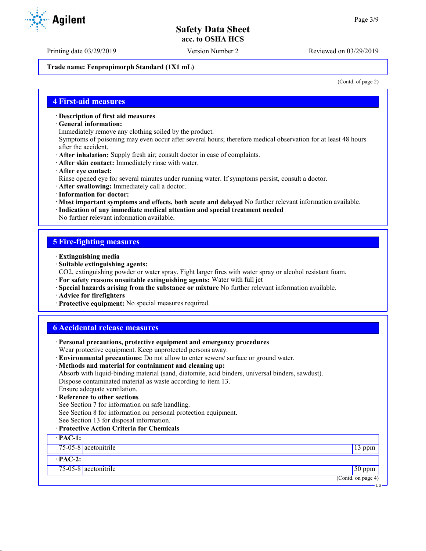Printing date 03/29/2019 Version Number 2 Reviewed on 03/29/2019

**Trade name: Fenpropimorph Standard (1X1 mL)**

(Contd. of page 2)

US

#### **4 First-aid measures**

· **Description of first aid measures**

· **General information:**

Immediately remove any clothing soiled by the product.

Symptoms of poisoning may even occur after several hours; therefore medical observation for at least 48 hours after the accident.

- · **After inhalation:** Supply fresh air; consult doctor in case of complaints.
- · **After skin contact:** Immediately rinse with water.
- · **After eye contact:**

Rinse opened eye for several minutes under running water. If symptoms persist, consult a doctor.

- · **After swallowing:** Immediately call a doctor.
- · **Information for doctor:**
- · **Most important symptoms and effects, both acute and delayed** No further relevant information available.
- · **Indication of any immediate medical attention and special treatment needed**

No further relevant information available.

## **5 Fire-fighting measures**

- · **Extinguishing media**
- · **Suitable extinguishing agents:**
- CO2, extinguishing powder or water spray. Fight larger fires with water spray or alcohol resistant foam.
- · **For safety reasons unsuitable extinguishing agents:** Water with full jet
- · **Special hazards arising from the substance or mixture** No further relevant information available.
- · **Advice for firefighters**
- · **Protective equipment:** No special measures required.

## **6 Accidental release measures**

| · Personal precautions, protective equipment and emergency procedures<br>Wear protective equipment. Keep unprotected persons away.                          |                    |  |
|-------------------------------------------------------------------------------------------------------------------------------------------------------------|--------------------|--|
| · Environmental precautions: Do not allow to enter sewers/ surface or ground water.                                                                         |                    |  |
| · Methods and material for containment and cleaning up:<br>Absorb with liquid-binding material (sand, diatomite, acid binders, universal binders, sawdust). |                    |  |
| Dispose contaminated material as waste according to item 13.                                                                                                |                    |  |
| Ensure adequate ventilation.                                                                                                                                |                    |  |
| · Reference to other sections                                                                                                                               |                    |  |
| See Section 7 for information on safe handling.                                                                                                             |                    |  |
| See Section 8 for information on personal protection equipment.                                                                                             |                    |  |
| See Section 13 for disposal information.                                                                                                                    |                    |  |
| · Protective Action Criteria for Chemicals                                                                                                                  |                    |  |
| $\cdot$ PAC-1:                                                                                                                                              |                    |  |
| 75-05-8 acetonitrile<br>$13$ ppm                                                                                                                            |                    |  |
| $\cdot$ PAC-2:                                                                                                                                              |                    |  |
| $75-05-8$ acetonitrile                                                                                                                                      | $50$ ppm           |  |
|                                                                                                                                                             | (Contd. on page 4) |  |

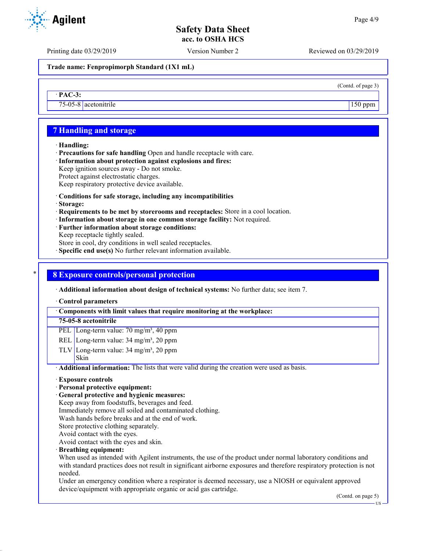Printing date 03/29/2019 Version Number 2 Reviewed on 03/29/2019

(Contd. of page 3)

**Trade name: Fenpropimorph Standard (1X1 mL)**

· **PAC-3:**

75-05-8 acetonitrile 150 ppm

## **7 Handling and storage**

#### · **Handling:**

· **Precautions for safe handling** Open and handle receptacle with care.

· **Information about protection against explosions and fires:**

Keep ignition sources away - Do not smoke.

Protect against electrostatic charges.

Keep respiratory protective device available.

- · **Conditions for safe storage, including any incompatibilities**
- · **Storage:**
- · **Requirements to be met by storerooms and receptacles:** Store in a cool location.
- · **Information about storage in one common storage facility:** Not required.
- · **Further information about storage conditions:**
- Keep receptacle tightly sealed.

Store in cool, dry conditions in well sealed receptacles.

**Specific end use(s)** No further relevant information available.

## \* **8 Exposure controls/personal protection**

· **Additional information about design of technical systems:** No further data; see item 7.

#### · **Control parameters**

· **Components with limit values that require monitoring at the workplace:**

#### **75-05-8 acetonitrile**

PEL Long-term value: 70 mg/m<sup>3</sup>, 40 ppm

REL Long-term value:  $34 \text{ mg/m}^3$ ,  $20 \text{ ppm}$ 

TLV Long-term value:  $34 \text{ mg/m}^3$ ,  $20 \text{ ppm}$ Skin

· **Additional information:** The lists that were valid during the creation were used as basis.

- · **Exposure controls**
- · **Personal protective equipment:**
- · **General protective and hygienic measures:**

Keep away from foodstuffs, beverages and feed.

Immediately remove all soiled and contaminated clothing.

Wash hands before breaks and at the end of work.

Store protective clothing separately.

Avoid contact with the eyes.

Avoid contact with the eyes and skin.

· **Breathing equipment:**

When used as intended with Agilent instruments, the use of the product under normal laboratory conditions and with standard practices does not result in significant airborne exposures and therefore respiratory protection is not needed.

Under an emergency condition where a respirator is deemed necessary, use a NIOSH or equivalent approved device/equipment with appropriate organic or acid gas cartridge.

(Contd. on page 5)

US

**Agilent**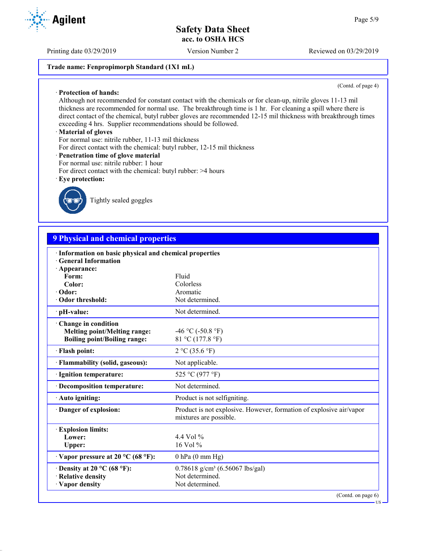Printing date 03/29/2019 Version Number 2 Reviewed on 03/29/2019

## **Trade name: Fenpropimorph Standard (1X1 mL)**

(Contd. of page 4)

Although not recommended for constant contact with the chemicals or for clean-up, nitrile gloves 11-13 mil thickness are recommended for normal use. The breakthrough time is 1 hr. For cleaning a spill where there is direct contact of the chemical, butyl rubber gloves are recommended 12-15 mil thickness with breakthrough times exceeding 4 hrs. Supplier recommendations should be followed.

#### · **Material of gloves**

· **Protection of hands:**

For normal use: nitrile rubber, 11-13 mil thickness

- For direct contact with the chemical: butyl rubber, 12-15 mil thickness
- · **Penetration time of glove material**
- For normal use: nitrile rubber: 1 hour
- For direct contact with the chemical: butyl rubber: >4 hours
- · **Eye protection:**



Tightly sealed goggles

# **9 Physical and chemical properties**

| · Information on basic physical and chemical properties<br><b>General Information</b> |                                                                                               |
|---------------------------------------------------------------------------------------|-----------------------------------------------------------------------------------------------|
| · Appearance:                                                                         |                                                                                               |
| Form:                                                                                 | Fluid                                                                                         |
| Color:                                                                                | Colorless                                                                                     |
| · Odor:                                                                               | Aromatic                                                                                      |
| Odor threshold:                                                                       | Not determined.                                                                               |
| · pH-value:                                                                           | Not determined.                                                                               |
| Change in condition                                                                   |                                                                                               |
| <b>Melting point/Melting range:</b>                                                   | $-46$ °C ( $-50.8$ °F)                                                                        |
| <b>Boiling point/Boiling range:</b>                                                   | 81 °C (177.8 °F)                                                                              |
| · Flash point:                                                                        | 2 °C (35.6 °F)                                                                                |
| · Flammability (solid, gaseous):                                                      | Not applicable.                                                                               |
| · Ignition temperature:                                                               | 525 °C (977 °F)                                                                               |
| · Decomposition temperature:                                                          | Not determined.                                                                               |
| · Auto igniting:                                                                      | Product is not selfigniting.                                                                  |
| Danger of explosion:                                                                  | Product is not explosive. However, formation of explosive air/vapor<br>mixtures are possible. |
| <b>Explosion limits:</b>                                                              |                                                                                               |
| Lower:                                                                                | 4.4 Vol $%$                                                                                   |
| Upper:                                                                                | 16 Vol %                                                                                      |
| $\cdot$ Vapor pressure at 20 °C (68 °F):                                              | $0$ hPa $(0$ mm Hg)                                                                           |
| $\cdot$ Density at 20 °C (68 °F):                                                     | $0.78618$ g/cm <sup>3</sup> (6.56067 lbs/gal)                                                 |
| · Relative density                                                                    | Not determined.                                                                               |
| · Vapor density                                                                       | Not determined.                                                                               |
|                                                                                       | (Contd. on page 6)                                                                            |

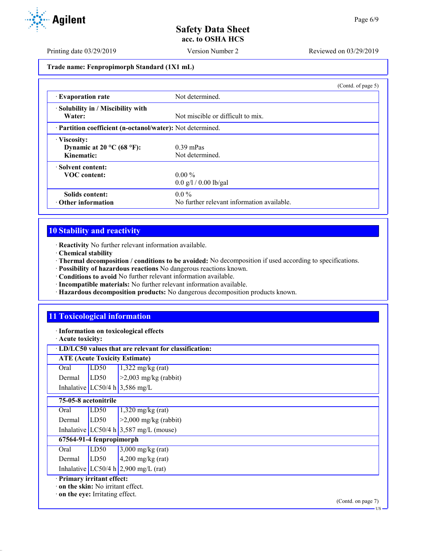Printing date 03/29/2019 Version Number 2 Reviewed on 03/29/2019

**Trade name: Fenpropimorph Standard (1X1 mL)**

|                                                            |                                            | (Contd. of page 5) |
|------------------------------------------------------------|--------------------------------------------|--------------------|
| <b>Evaporation rate</b>                                    | Not determined.                            |                    |
| · Solubility in / Miscibility with                         |                                            |                    |
| Water:                                                     | Not miscible or difficult to mix.          |                    |
| · Partition coefficient (n-octanol/water): Not determined. |                                            |                    |
| · Viscosity:                                               |                                            |                    |
| Dynamic at 20 $^{\circ}$ C (68 $^{\circ}$ F):              | $0.39$ mPas                                |                    |
| Kinematic:                                                 | Not determined.                            |                    |
| Solvent content:                                           |                                            |                    |
| <b>VOC</b> content:                                        | $0.00\%$                                   |                    |
|                                                            | $0.0 \frac{g}{1} / 0.00 \frac{h}{gal}$     |                    |
| Solids content:                                            | $0.0\%$                                    |                    |
| $\cdot$ Other information                                  | No further relevant information available. |                    |

# **10 Stability and reactivity**

· **Reactivity** No further relevant information available.

- · **Chemical stability**
- · **Thermal decomposition / conditions to be avoided:** No decomposition if used according to specifications.
- · **Possibility of hazardous reactions** No dangerous reactions known.
- · **Conditions to avoid** No further relevant information available.
- · **Incompatible materials:** No further relevant information available.
- · **Hazardous decomposition products:** No dangerous decomposition products known.

# **11 Toxicological information**

· **Information on toxicological effects**

· **Acute toxicity:**

## · **LD/LC50 values that are relevant for classification:**

| <b>ATE (Acute Toxicity Estimate)</b> |      |                                                                                                       |  |
|--------------------------------------|------|-------------------------------------------------------------------------------------------------------|--|
| Oral                                 | LD50 |                                                                                                       |  |
| Dermal $\rightarrow$                 | LD50 | $\begin{array}{ l }\n1,322 \text{ mg/kg (rat)} \\ \hline\n>2,003 \text{ mg/kg (rabbit)}\n\end{array}$ |  |
|                                      |      | Inhalative LC50/4 h 3,586 mg/L                                                                        |  |
|                                      |      |                                                                                                       |  |
| 75-05-8 acetonitrile                 |      |                                                                                                       |  |

|                            | Oral                                     | LD50 | $1,320$ mg/kg (rat)                      |
|----------------------------|------------------------------------------|------|------------------------------------------|
|                            | Dermal                                   | LD50 | $\geq$ 2,000 mg/kg (rabbit)              |
|                            |                                          |      | Inhalative LC50/4 h $3,587$ mg/L (mouse) |
|                            | 67564-91-4 fenpropimorph                 |      |                                          |
|                            | Oral                                     | LD50 | $3,000$ mg/kg (rat)                      |
|                            | Dermal                                   | LD50 | $4,200$ mg/kg (rat)                      |
|                            |                                          |      | Inhalative LC50/4 h $2,900$ mg/L (rat)   |
| · Primary irritant effect: |                                          |      |                                          |
|                            | $\cdot$ on the skin: No irritant effect. |      |                                          |
|                            |                                          |      |                                          |

· **on the eye:** Irritating effect.

(Contd. on page 7) US

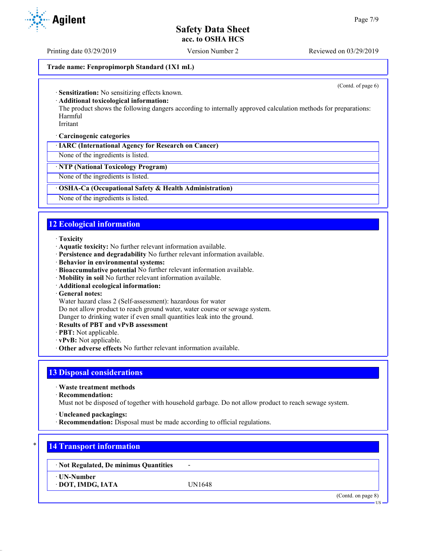Printing date 03/29/2019 Version Number 2 Reviewed on 03/29/2019

#### **Trade name: Fenpropimorph Standard (1X1 mL)**

(Contd. of page 6)

· **Sensitization:** No sensitizing effects known.

· **Additional toxicological information:**

The product shows the following dangers according to internally approved calculation methods for preparations: Harmful

Irritant

· **Carcinogenic categories**

· **IARC (International Agency for Research on Cancer)**

None of the ingredients is listed.

· **NTP (National Toxicology Program)**

None of the ingredients is listed.

#### · **OSHA-Ca (Occupational Safety & Health Administration)**

None of the ingredients is listed.

## **12 Ecological information**

- · **Toxicity**
- · **Aquatic toxicity:** No further relevant information available.
- · **Persistence and degradability** No further relevant information available.
- · **Behavior in environmental systems:**
- · **Bioaccumulative potential** No further relevant information available.
- · **Mobility in soil** No further relevant information available.
- · **Additional ecological information:**
- · **General notes:**

Water hazard class 2 (Self-assessment): hazardous for water

Do not allow product to reach ground water, water course or sewage system.

- Danger to drinking water if even small quantities leak into the ground.
- · **Results of PBT and vPvB assessment**
- · **PBT:** Not applicable.
- · **vPvB:** Not applicable.
- · **Other adverse effects** No further relevant information available.

#### **13 Disposal considerations**

· **Waste treatment methods**

· **Recommendation:**

Must not be disposed of together with household garbage. Do not allow product to reach sewage system.

· **Uncleaned packagings:**

· **Recommendation:** Disposal must be made according to official regulations.

## **14 Transport information**

· **Not Regulated, De minimus Quantities** -

· **UN-Number**

· **DOT, IMDG, IATA** UN1648

(Contd. on page 8)

**TIC** 

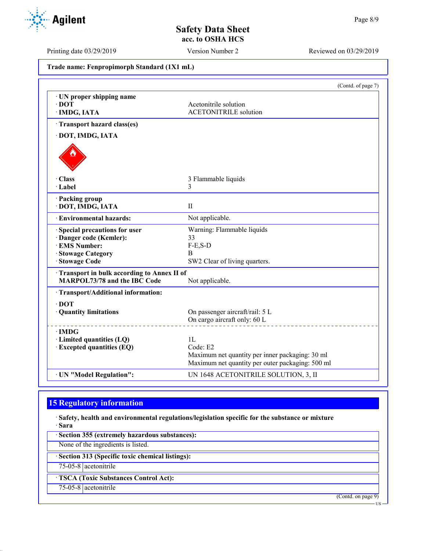Printing date 03/29/2019 Version Number 2 Reviewed on 03/29/2019

**Trade name: Fenpropimorph Standard (1X1 mL)**

|                                                                                                                                   | (Contd. of page 7)                                                                                                                |
|-----------------------------------------------------------------------------------------------------------------------------------|-----------------------------------------------------------------------------------------------------------------------------------|
| UN proper shipping name<br>$\cdot$ DOT<br>· IMDG, IATA                                                                            | Acetonitrile solution<br><b>ACETONITRILE</b> solution                                                                             |
| Transport hazard class(es)                                                                                                        |                                                                                                                                   |
| · DOT, IMDG, IATA                                                                                                                 |                                                                                                                                   |
|                                                                                                                                   |                                                                                                                                   |
| · Class<br>· Label                                                                                                                | 3 Flammable liquids<br>3                                                                                                          |
| · Packing group<br>· DOT, IMDG, IATA                                                                                              | $\mathbf{I}$                                                                                                                      |
| <b>Environmental hazards:</b>                                                                                                     | Not applicable.                                                                                                                   |
| <b>Special precautions for user</b><br>· Danger code (Kemler):<br>· EMS Number:<br><b>Stowage Category</b><br><b>Stowage Code</b> | Warning: Flammable liquids<br>33<br>$F-E, S-D$<br>B<br>SW2 Clear of living quarters.                                              |
| Transport in bulk according to Annex II of<br>MARPOL73/78 and the IBC Code                                                        | Not applicable.                                                                                                                   |
| · Transport/Additional information:                                                                                               |                                                                                                                                   |
| $\cdot$ DOT<br>· Quantity limitations                                                                                             | On passenger aircraft/rail: 5 L<br>On cargo aircraft only: 60 L                                                                   |
| $\cdot$ IMDG<br>· Limited quantities (LQ)<br>· Excepted quantities (EQ)                                                           | 1 <sub>L</sub><br>Code: E2<br>Maximum net quantity per inner packaging: 30 ml<br>Maximum net quantity per outer packaging: 500 ml |
| · UN "Model Regulation":                                                                                                          | UN 1648 ACETONITRILE SOLUTION, 3, II                                                                                              |

# **15 Regulatory information**

· **Safety, health and environmental regulations/legislation specific for the substance or mixture** · **Sara**

· **Section 355 (extremely hazardous substances):**

None of the ingredients is listed.

· **Section 313 (Specific toxic chemical listings):**

75-05-8 acetonitrile

· **TSCA (Toxic Substances Control Act):**

75-05-8 acetonitrile

(Contd. on page 9)

US

Agilent